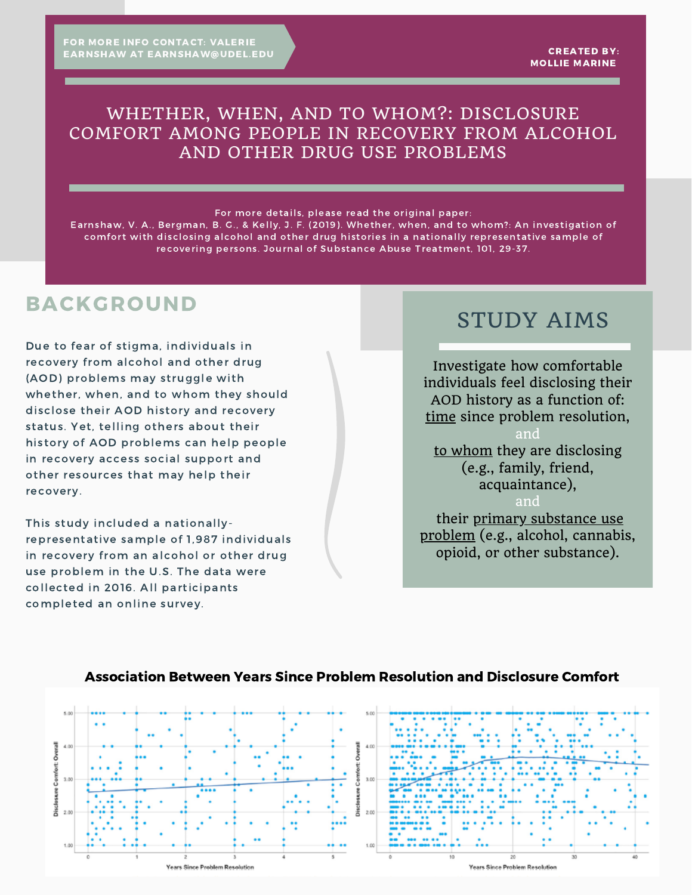### WHETHER, WHEN, AND TO WHOM?: DISCLOSURE COMFORT AMONG PEOPLE IN RECOVERY FROM ALCOHOL AND OTHER DRUG USE PROBLEMS

#### For more details, please read the original paper:

Earnshaw, V. A., Bergman, B. G., & Kelly, J. F. (2019). Whether, when, and to whom?: An investigation of comfort with disclosing alcohol and other drug histories in a nationally representative sample of recovering persons. Journal of Substance Abuse Treatment, 101, 29-37.

# BACKGROUND

Due to fear of stigma, individuals in recovery from alcohol and other drug (AOD) problems may struggle with whether, when, and to whom they should disclose their AOD history and recovery status. Yet, telling others about their history of AOD problems can help people in recovery access social support and other resources that may help their recovery.

This study included a nationallyrepresentative sample of 1,987 individuals in recovery from an alcohol or other drug use problem in the U.S. The data were collected in 2016. All participants completed an online survey.

# STUDY AIMS

Investigate how comfortable individuals feel disclosing their AOD history as a function of: time since problem resolution,

and to whom they are disclosing (e.g., family, friend, acquaintance),

and their primary substance use problem (e.g., alcohol, cannabis, opioid, or other substance).



### Association Between Years Since Problem Resolution and Disclosure Comfort